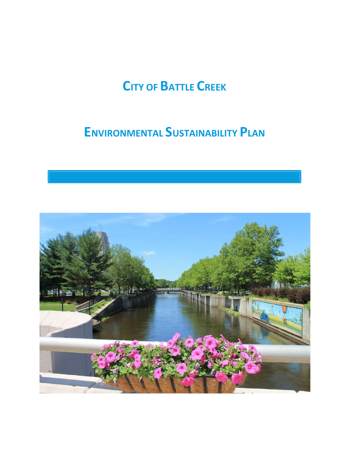# **CITY OF BATTLE CREEK**

## **ENVIRONMENTAL SUSTAINABILITY PLAN**

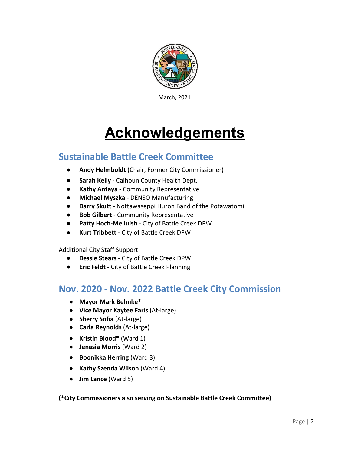

March, 2021

# **Acknowledgements**

### **Sustainable Battle Creek Committee**

- **Andy Helmboldt** (Chair, Former City Commissioner)
- **Sarah Kelly** Calhoun County Health Dept.
- **● Kathy Antaya**  Community Representative
- **● Michael Myszka** DENSO Manufacturing
- **Barry Skutt** Nottawaseppi Huron Band of the Potawatomi
- **Bob Gilbert** Community Representative
- **● Patty Hoch-Melluish**  City of Battle Creek DPW
- **● Kurt Tribbett**  City of Battle Creek DPW

Additional City Staff Support:

- **Bessie Stears** City of Battle Creek DPW
- **Eric Feldt** City of Battle Creek Planning

### **Nov. 2020 - Nov. 2022 Battle Creek City Commission**

- **Mayor Mark Behnke\***
- **● Vice Mayor Kaytee Faris** (At-large)
- **● Sherry Sofia** (At-large)
- *●* **Carla Reynolds** (At-large)
- **Kristin Blood\*** (Ward 1)
- **Jenasia Morris** (Ward 2)
- **● Boonikka Herring** (Ward 3)
- **Kathy Szenda Wilson** (Ward 4)
- **● Jim Lance** (Ward 5)

### **(\*City Commissioners also serving on Sustainable Battle Creek Committee)**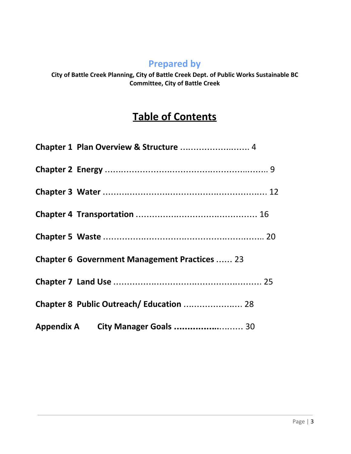### **Prepared by**

**City of Battle Creek Planning, City of Battle Creek Dept. of Public Works Sustainable BC Committee, City of Battle Creek**

### **Table of Contents**

| Chapter 1 Plan Overview & Structure  4               |  |
|------------------------------------------------------|--|
|                                                      |  |
|                                                      |  |
|                                                      |  |
|                                                      |  |
| <b>Chapter 6 Government Management Practices  23</b> |  |
|                                                      |  |
| Chapter 8 Public Outreach/Education  28              |  |
|                                                      |  |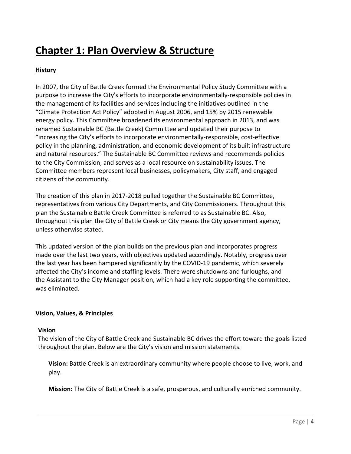### **Chapter 1: Plan Overview & Structure**

### **History**

In 2007, the City of Battle Creek formed the Environmental Policy Study Committee with a purpose to increase the City's efforts to incorporate environmentally-responsible policies in the management of its facilities and services including the initiatives outlined in the "Climate Protection Act Policy" adopted in August 2006, and 15% by 2015 renewable energy policy. This Committee broadened its environmental approach in 2013, and was renamed Sustainable BC (Battle Creek) Committee and updated their purpose to "increasing the City's efforts to incorporate environmentally-responsible, cost-effective policy in the planning, administration, and economic development of its built infrastructure and natural resources." The Sustainable BC Committee reviews and recommends policies to the City Commission, and serves as a local resource on sustainability issues. The Committee members represent local businesses, policymakers, City staff, and engaged citizens of the community.

The creation of this plan in 2017-2018 pulled together the Sustainable BC Committee, representatives from various City Departments, and City Commissioners. Throughout this plan the Sustainable Battle Creek Committee is referred to as Sustainable BC. Also, throughout this plan the City of Battle Creek or City means the City government agency, unless otherwise stated.

This updated version of the plan builds on the previous plan and incorporates progress made over the last two years, with objectives updated accordingly. Notably, progress over the last year has been hampered significantly by the COVID-19 pandemic, which severely affected the City's income and staffing levels. There were shutdowns and furloughs, and the Assistant to the City Manager position, which had a key role supporting the committee, was eliminated.

### **Vision, Values, & Principles**

#### **Vision**

The vision of the City of Battle Creek and Sustainable BC drives the effort toward the goals listed throughout the plan. Below are the City's vision and mission statements.

**Vision:** Battle Creek is an extraordinary community where people choose to live, work, and play.

**Mission:** The City of Battle Creek is a safe, prosperous, and culturally enriched community.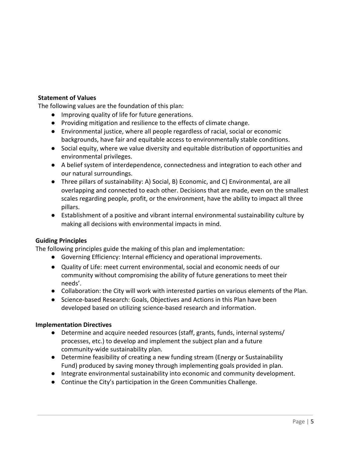### **Statement of Values**

The following values are the foundation of this plan:

- Improving quality of life for future generations.
- Providing mitigation and resilience to the effects of climate change.
- Environmental justice, where all people regardless of racial, social or economic backgrounds, have fair and equitable access to environmentally stable conditions.
- Social equity, where we value diversity and equitable distribution of opportunities and environmental privileges.
- A belief system of interdependence, connectedness and integration to each other and our natural surroundings.
- Three pillars of sustainability: A) Social, B) Economic, and C) Environmental, are all overlapping and connected to each other. Decisions that are made, even on the smallest scales regarding people, profit, or the environment, have the ability to impact all three pillars.
- Establishment of a positive and vibrant internal environmental sustainability culture by making all decisions with environmental impacts in mind.

### **Guiding Principles**

The following principles guide the making of this plan and implementation:

- Governing Efficiency: Internal efficiency and operational improvements.
- Quality of Life: meet current environmental, social and economic needs of our community without compromising the ability of future generations to meet their needs'.
- Collaboration: the City will work with interested parties on various elements of the Plan.
- Science-based Research: Goals, Objectives and Actions in this Plan have been developed based on utilizing science-based research and information.

### **Implementation Directives**

- Determine and acquire needed resources (staff, grants, funds, internal systems/ processes, etc.) to develop and implement the subject plan and a future community-wide sustainability plan.
- Determine feasibility of creating a new funding stream (Energy or Sustainability Fund) produced by saving money through implementing goals provided in plan.
- Integrate environmental sustainability into economic and community development.
- Continue the City's participation in the Green Communities Challenge.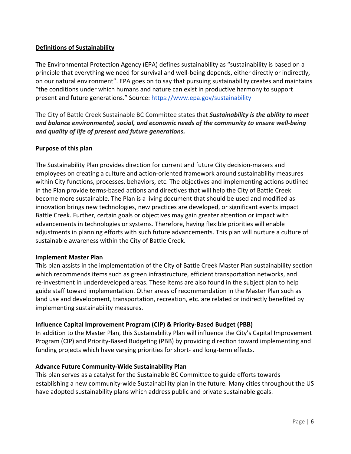### **Definitions of Sustainability**

The Environmental Protection Agency (EPA) defines sustainability as "sustainability is based on a principle that everything we need for survival and well-being depends, either directly or indirectly, on our natural environment". EPA goes on to say that pursuing sustainability creates and maintains "the conditions under which humans and nature can exist in productive harmony to support present and future generations." Source: https://www.epa.gov/sustainability

The City of Battle Creek Sustainable BC Committee states that *Sustainability is the ability to meet and balance environmental, social, and economic needs of the community to ensure well-being and quality of life of present and future generations.*

### **Purpose of this plan**

The Sustainability Plan provides direction for current and future City decision-makers and employees on creating a culture and action-oriented framework around sustainability measures within City functions, processes, behaviors, etc. The objectives and implementing actions outlined in the Plan provide terms-based actions and directives that will help the City of Battle Creek become more sustainable. The Plan is a living document that should be used and modified as innovation brings new technologies, new practices are developed, or significant events impact Battle Creek. Further, certain goals or objectives may gain greater attention or impact with advancements in technologies or systems. Therefore, having flexible priorities will enable adjustments in planning efforts with such future advancements. This plan will nurture a culture of sustainable awareness within the City of Battle Creek.

#### **Implement Master Plan**

This plan assists in the implementation of the City of Battle Creek Master Plan sustainability section which recommends items such as green infrastructure, efficient transportation networks, and re-investment in underdeveloped areas. These items are also found in the subject plan to help guide staff toward implementation. Other areas of recommendation in the Master Plan such as land use and development, transportation, recreation, etc. are related or indirectly benefited by implementing sustainability measures.

### **Influence Capital Improvement Program (CIP) & Priority-Based Budget (PBB)**

In addition to the Master Plan, this Sustainability Plan will influence the City's Capital Improvement Program (CIP) and Priority-Based Budgeting (PBB) by providing direction toward implementing and funding projects which have varying priorities for short- and long-term effects.

### **Advance Future Community-Wide Sustainability Plan**

This plan serves as a catalyst for the Sustainable BC Committee to guide efforts towards establishing a new community-wide Sustainability plan in the future. Many cities throughout the US have adopted sustainability plans which address public and private sustainable goals.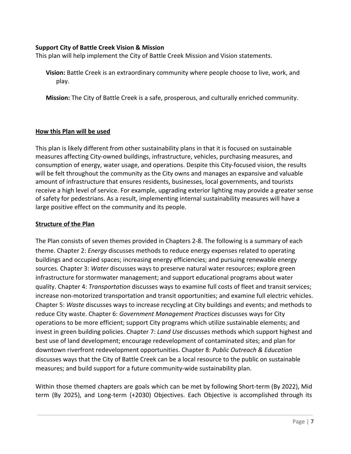#### **Support City of Battle Creek Vision & Mission**

This plan will help implement the City of Battle Creek Mission and Vision statements.

**Vision:** Battle Creek is an extraordinary community where people choose to live, work, and play.

**Mission:** The City of Battle Creek is a safe, prosperous, and culturally enriched community.

#### **How this Plan will be used**

This plan is likely different from other sustainability plans in that it is focused on sustainable measures affecting City-owned buildings, infrastructure, vehicles, purchasing measures, and consumption of energy, water usage, and operations. Despite this City-focused vision, the results will be felt throughout the community as the City owns and manages an expansive and valuable amount of infrastructure that ensures residents, businesses, local governments, and tourists receive a high level of service. For example, upgrading exterior lighting may provide a greater sense of safety for pedestrians. As a result, implementing internal sustainability measures will have a large positive effect on the community and its people.

#### **Structure of the Plan**

The Plan consists of seven themes provided in Chapters 2-8. The following is a summary of each theme. Chapter 2: *Energy* discusses methods to reduce energy expenses related to operating buildings and occupied spaces; increasing energy efficiencies; and pursuing renewable energy sources. Chapter 3: *Water* discusses ways to preserve natural water resources; explore green infrastructure for stormwater management; and support educational programs about water quality. Chapter 4: *Transportation* discusses ways to examine full costs of fleet and transit services; increase non-motorized transportation and transit opportunities; and examine full electric vehicles. Chapter 5: *Waste* discusses ways to increase recycling at City buildings and events; and methods to reduce City waste. Chapter 6: *Government Management Practices* discusses ways for City operations to be more efficient; support City programs which utilize sustainable elements; and invest in green building policies. Chapter 7: *Land Use* discusses methods which support highest and best use of land development; encourage redevelopment of contaminated sites; and plan for downtown riverfront redevelopment opportunities. Chapter 8: *Public Outreach & Education* discusses ways that the City of Battle Creek can be a local resource to the public on sustainable measures; and build support for a future community-wide sustainability plan.

Within those themed chapters are goals which can be met by following Short-term (By 2022), Mid term (By 2025), and Long-term (+2030) Objectives. Each Objective is accomplished through its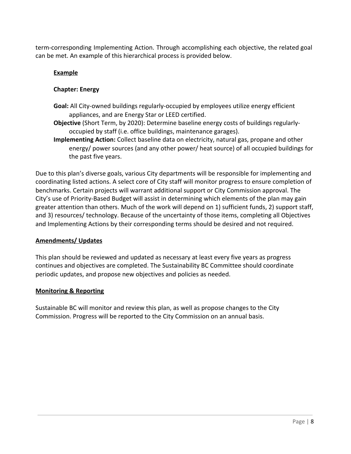term-corresponding Implementing Action. Through accomplishing each objective, the related goal can be met. An example of this hierarchical process is provided below.

### **Example**

### **Chapter: Energy**

- **Goal:** All City-owned buildings regularly-occupied by employees utilize energy efficient appliances, and are Energy Star or LEED certified.
- **Objective** (Short Term, by 2020): Determine baseline energy costs of buildings regularlyoccupied by staff (i.e. office buildings, maintenance garages).
- **Implementing Action:** Collect baseline data on electricity, natural gas, propane and other energy/ power sources (and any other power/ heat source) of all occupied buildings for the past five years.

Due to this plan's diverse goals, various City departments will be responsible for implementing and coordinating listed actions. A select core of City staff will monitor progress to ensure completion of benchmarks. Certain projects will warrant additional support or City Commission approval. The City's use of Priority-Based Budget will assist in determining which elements of the plan may gain greater attention than others. Much of the work will depend on 1) sufficient funds, 2) support staff, and 3) resources/ technology. Because of the uncertainty of those items, completing all Objectives and Implementing Actions by their corresponding terms should be desired and not required.

#### **Amendments/ Updates**

This plan should be reviewed and updated as necessary at least every five years as progress continues and objectives are completed. The Sustainability BC Committee should coordinate periodic updates, and propose new objectives and policies as needed.

#### **Monitoring & Reporting**

Sustainable BC will monitor and review this plan, as well as propose changes to the City Commission. Progress will be reported to the City Commission on an annual basis.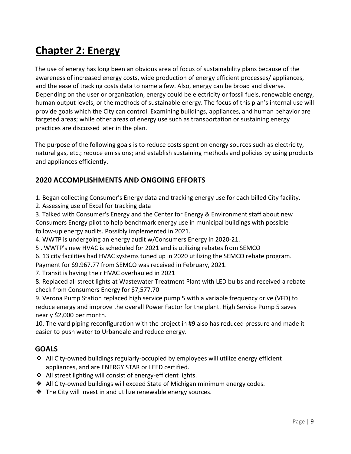### **Chapter 2: Energy**

The use of energy has long been an obvious area of focus of sustainability plans because of the awareness of increased energy costs, wide production of energy efficient processes/ appliances, and the ease of tracking costs data to name a few. Also, energy can be broad and diverse. Depending on the user or organization, energy could be electricity or fossil fuels, renewable energy, human output levels, or the methods of sustainable energy. The focus of this plan's internal use will provide goals which the City can control. Examining buildings, appliances, and human behavior are targeted areas; while other areas of energy use such as transportation or sustaining energy practices are discussed later in the plan.

The purpose of the following goals is to reduce costs spent on energy sources such as electricity, natural gas, etc.; reduce emissions; and establish sustaining methods and policies by using products and appliances efficiently.

### **2020 ACCOMPLISHMENTS AND ONGOING EFFORTS**

1. Began collecting Consumer's Energy data and tracking energy use for each billed City facility.

2. Assessing use of Excel for tracking data

3. Talked with Consumer's Energy and the Center for Energy & Environment staff about new Consumers Energy pilot to help benchmark energy use in municipal buildings with possible follow-up energy audits. Possibly implemented in 2021.

4. WWTP is undergoing an energy audit w/Consumers Energy in 2020-21.

5 . WWTP's new HVAC is scheduled for 2021 and is utilizing rebates from SEMCO

6. 13 city facilities had HVAC systems tuned up in 2020 utilizing the SEMCO rebate program.

Payment for \$9,967.77 from SEMCO was received in February, 2021.

7. Transit is having their HVAC overhauled in 2021

8. Replaced all street lights at Wastewater Treatment Plant with LED bulbs and received a rebate check from Consumers Energy for \$7,577.70

9. Verona Pump Station replaced high service pump 5 with a variable frequency drive (VFD) to reduce energy and improve the overall Power Factor for the plant. High Service Pump 5 saves nearly \$2,000 per month.

10. The yard piping reconfiguration with the project in #9 also has reduced pressure and made it easier to push water to Urbandale and reduce energy.

### **GOALS**

- ❖ All City-owned buildings regularly-occupied by employees will utilize energy efficient appliances, and are ENERGY STAR or LEED certified.
- ❖ All street lighting will consist of energy-efficient lights.
- ❖ All City-owned buildings will exceed State of Michigan minimum energy codes.
- ❖ The City will invest in and utilize renewable energy sources.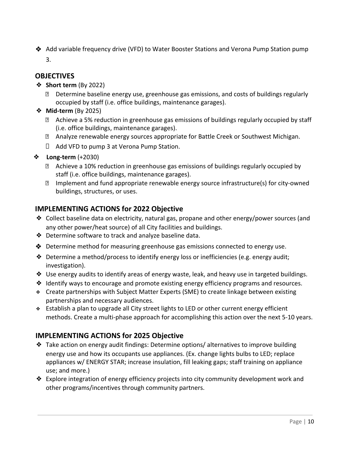❖ Add variable frequency drive (VFD) to Water Booster Stations and Verona Pump Station pump 3.

### **OBJECTIVES**

### ❖ **Short term** (By 2022)

- Determine baseline energy use, greenhouse gas emissions, and costs of buildings regularly occupied by staff (i.e. office buildings, maintenance garages).
- ❖ **Mid-term** (By 2025)
	- Achieve a 5% reduction in greenhouse gas emissions of buildings regularly occupied by staff (i.e. office buildings, maintenance garages).
	- Analyze renewable energy sources appropriate for Battle Creek or Southwest Michigan.
	- $\Box$  Add VFD to pump 3 at Verona Pump Station.
- ❖ **Long-term** (+2030)
	- Achieve a 10% reduction in greenhouse gas emissions of buildings regularly occupied by staff (i.e. office buildings, maintenance garages).
	- $\mathbb D$  Implement and fund appropriate renewable energy source infrastructure(s) for city-owned buildings, structures, or uses.

### **IMPLEMENTING ACTIONS for 2022 Objective**

- ❖ Collect baseline data on electricity, natural gas, propane and other energy/power sources (and any other power/heat source) of all City facilities and buildings.
- ❖ Determine software to track and analyze baseline data.
- ❖ Determine method for measuring greenhouse gas emissions connected to energy use.
- $\triangle$  Determine a method/process to identify energy loss or inefficiencies (e.g. energy audit; investigation).
- ❖ Use energy audits to identify areas of energy waste, leak, and heavy use in targeted buildings.
- ❖ Identify ways to encourage and promote existing energy efficiency programs and resources.
- ❖ Create partnerships with Subject Matter Experts (SME) to create linkage between existing partnerships and necessary audiences.
- ❖ Establish a plan to upgrade all City street lights to LED or other current energy efficient methods. Create a multi-phase approach for accomplishing this action over the next 5-10 years.

### **IMPLEMENTING ACTIONS for 2025 Objective**

- ❖ Take action on energy audit findings: Determine options/ alternatives to improve building energy use and how its occupants use appliances. (Ex. change lights bulbs to LED; replace appliances w/ ENERGY STAR; increase insulation, fill leaking gaps; staff training on appliance use; and more.)
- ❖ Explore integration of energy efficiency projects into city community development work and other programs/incentives through community partners.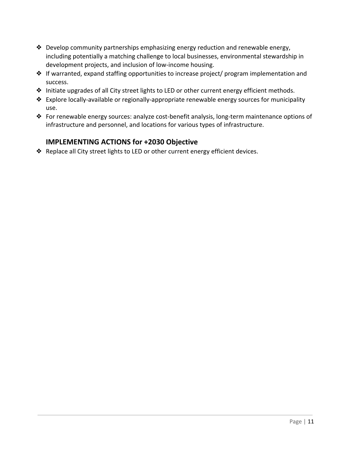- ❖ Develop community partnerships emphasizing energy reduction and renewable energy, including potentially a matching challenge to local businesses, environmental stewardship in development projects, and inclusion of low-income housing.
- ❖ If warranted, expand staffing opportunities to increase project/ program implementation and success.
- ❖ Initiate upgrades of all City street lights to LED or other current energy efficient methods.
- ❖ Explore locally-available or regionally-appropriate renewable energy sources for municipality use.
- ❖ For renewable energy sources: analyze cost-benefit analysis, long-term maintenance options of infrastructure and personnel, and locations for various types of infrastructure.

### **IMPLEMENTING ACTIONS for +2030 Objective**

❖ Replace all City street lights to LED or other current energy efficient devices.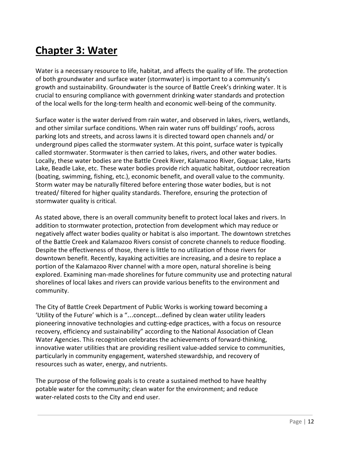### **Chapter 3: Water**

Water is a necessary resource to life, habitat, and affects the quality of life. The protection of both groundwater and surface water (stormwater) is important to a community's growth and sustainability. Groundwater is the source of Battle Creek's drinking water. It is crucial to ensuring compliance with government drinking water standards and protection of the local wells for the long-term health and economic well-being of the community.

Surface water is the water derived from rain water, and observed in lakes, rivers, wetlands, and other similar surface conditions. When rain water runs off buildings' roofs, across parking lots and streets, and across lawns it is directed toward open channels and/ or underground pipes called the stormwater system. At this point, surface water is typically called stormwater. Stormwater is then carried to lakes, rivers, and other water bodies. Locally, these water bodies are the Battle Creek River, Kalamazoo River, Goguac Lake, Harts Lake, Beadle Lake, etc. These water bodies provide rich aquatic habitat, outdoor recreation (boating, swimming, fishing, etc.), economic benefit, and overall value to the community. Storm water may be naturally filtered before entering those water bodies, but is not treated/ filtered for higher quality standards. Therefore, ensuring the protection of stormwater quality is critical.

As stated above, there is an overall community benefit to protect local lakes and rivers. In addition to stormwater protection, protection from development which may reduce or negatively affect water bodies quality or habitat is also important. The downtown stretches of the Battle Creek and Kalamazoo Rivers consist of concrete channels to reduce flooding. Despite the effectiveness of those, there is little to no utilization of those rivers for downtown benefit. Recently, kayaking activities are increasing, and a desire to replace a portion of the Kalamazoo River channel with a more open, natural shoreline is being explored. Examining man-made shorelines for future community use and protecting natural shorelines of local lakes and rivers can provide various benefits to the environment and community.

The City of Battle Creek Department of Public Works is working toward becoming a 'Utility of the Future' which is a "…concept…defined by clean water utility leaders pioneering innovative technologies and cutting-edge practices, with a focus on resource recovery, efficiency and sustainability" according to the National Association of Clean Water Agencies. This recognition celebrates the achievements of forward-thinking, innovative water utilities that are providing resilient value-added service to communities, particularly in community engagement, watershed stewardship, and recovery of resources such as water, energy, and nutrients.

The purpose of the following goals is to create a sustained method to have healthy potable water for the community; clean water for the environment; and reduce water-related costs to the City and end user.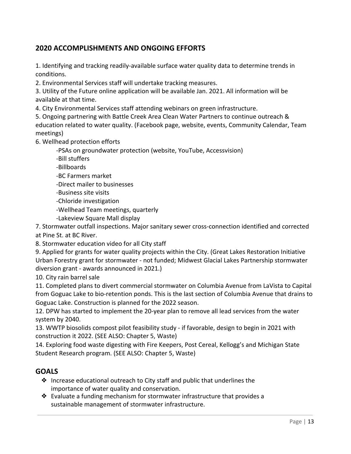### **2020 ACCOMPLISHMENTS AND ONGOING EFFORTS**

1. Identifying and tracking readily-available surface water quality data to determine trends in conditions.

2. Environmental Services staff will undertake tracking measures.

3. Utility of the Future online application will be available Jan. 2021. All information will be available at that time.

4. City Environmental Services staff attending webinars on green infrastructure.

5. Ongoing partnering with Battle Creek Area Clean Water Partners to continue outreach & education related to water quality. (Facebook page, website, events, Community Calendar, Team meetings)

6. Wellhead protection efforts

-PSAs on groundwater protection (website, YouTube, Accessvision)

-Bill stuffers

-Billboards

-BC Farmers market

-Direct mailer to businesses

-Business site visits

-Chloride investigation

-Wellhead Team meetings, quarterly

-Lakeview Square Mall display

7. Stormwater outfall inspections. Major sanitary sewer cross-connection identified and corrected

at Pine St. at BC River.

8. Stormwater education video for all City staff

9. Applied for grants for water quality projects within the City. (Great Lakes Restoration Initiative Urban Forestry grant for stormwater - not funded; Midwest Glacial Lakes Partnership stormwater diversion grant - awards announced in 2021.)

10. City rain barrel sale

11. Completed plans to divert commercial stormwater on Columbia Avenue from LaVista to Capital from Goguac Lake to bio-retention ponds. This is the last section of Columbia Avenue that drains to Goguac Lake. Construction is planned for the 2022 season.

12. DPW has started to implement the 20-year plan to remove all lead services from the water system by 2040.

13. WWTP biosolids compost pilot feasibility study - if favorable, design to begin in 2021 with construction it 2022. (SEE ALSO: Chapter 5, Waste)

14. Exploring food waste digesting with Fire Keepers, Post Cereal, Kellogg's and Michigan State Student Research program. (SEE ALSO: Chapter 5, Waste)

### **GOALS**

- ❖ Increase educational outreach to City staff and public that underlines the importance of water quality and conservation.
- ❖ Evaluate a funding mechanism for stormwater infrastructure that provides a sustainable management of stormwater infrastructure.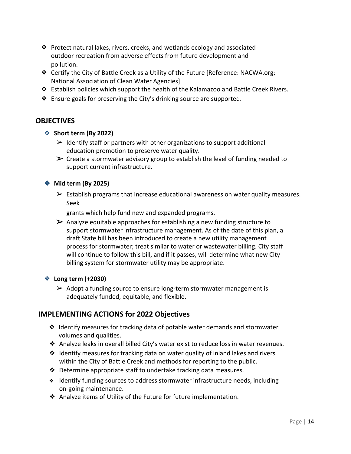- ❖ Protect natural lakes, rivers, creeks, and wetlands ecology and associated outdoor recreation from adverse effects from future development and pollution.
- ❖ Certify the City of Battle Creek as a Utility of the Future [Reference: NACWA.org; National Association of Clean Water Agencies].
- ❖ Establish policies which support the health of the Kalamazoo and Battle Creek Rivers.
- ❖ Ensure goals for preserving the City's drinking source are supported.

### **OBJECTIVES**

- ❖ **Short term (By 2022)**
	- $\triangleright$  Identify staff or partners with other organizations to support additional education promotion to preserve water quality.
	- $\triangleright$  Create a stormwater advisory group to establish the level of funding needed to support current infrastructure.

### ❖ **Mid term (By 2025)**

 $\triangleright$  Establish programs that increase educational awareness on water quality measures. Seek

grants which help fund new and expanded programs.

 $\triangleright$  Analyze equitable approaches for establishing a new funding structure to support stormwater infrastructure management. As of the date of this plan, a draft State bill has been introduced to create a new utility management process for stormwater; treat similar to water or wastewater billing. City staff will continue to follow this bill, and if it passes, will determine what new City billing system for stormwater utility may be appropriate.

### ❖ **Long term (+2030)**

 $\triangleright$  Adopt a funding source to ensure long-term stormwater management is adequately funded, equitable, and flexible.

### **IMPLEMENTING ACTIONS for 2022 Objectives**

- ❖ Identify measures for tracking data of potable water demands and stormwater volumes and qualities.
- ❖ Analyze leaks in overall billed City's water exist to reduce loss in water revenues.
- ❖ Identify measures for tracking data on water quality of inland lakes and rivers within the City of Battle Creek and methods for reporting to the public.
- ❖ Determine appropriate staff to undertake tracking data measures.
- ❖ Identify funding sources to address stormwater infrastructure needs, including on-going maintenance.
- ❖ Analyze items of Utility of the Future for future implementation.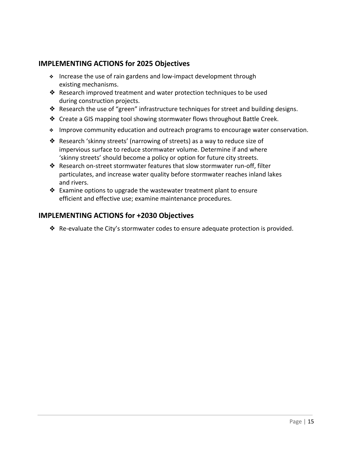### **IMPLEMENTING ACTIONS for 2025 Objectives**

- ❖ Increase the use of rain gardens and low-impact development through existing mechanisms.
- ❖ Research improved treatment and water protection techniques to be used during construction projects.
- ❖ Research the use of "green" infrastructure techniques for street and building designs.
- ❖ Create a GIS mapping tool showing stormwater flows throughout Battle Creek.
- ❖ Improve community education and outreach programs to encourage water conservation.
- ❖ Research 'skinny streets' (narrowing of streets) as a way to reduce size of impervious surface to reduce stormwater volume. Determine if and where 'skinny streets' should become a policy or option for future city streets.
- ❖ Research on-street stormwater features that slow stormwater run-off, filter particulates, and increase water quality before stormwater reaches inland lakes and rivers.
- ❖ Examine options to upgrade the wastewater treatment plant to ensure efficient and effective use; examine maintenance procedures.

### **IMPLEMENTING ACTIONS for +2030 Objectives**

❖ Re-evaluate the City's stormwater codes to ensure adequate protection is provided.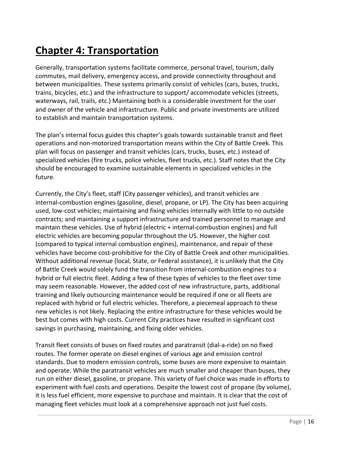### **Chapter 4: Transportation**

Generally, transportation systems facilitate commerce, personal travel, tourism, daily commutes, mail delivery, emergency access, and provide connectivity throughout and between municipalities. These systems primarily consist of vehicles (cars, buses, trucks, trains, bicycles, etc.) and the infrastructure to support/ accommodate vehicles (streets, waterways, rail, trails, etc.) Maintaining both is a considerable investment for the user and owner of the vehicle and infrastructure. Public and private investments are utilized to establish and maintain transportation systems.

The plan's internal focus guides this chapter's goals towards sustainable transit and fleet operations and non-motorized transportation means within the City of Battle Creek. This plan will focus on passenger and transit vehicles (cars, trucks, buses, etc.) instead of specialized vehicles (fire trucks, police vehicles, fleet trucks, etc.). Staff notes that the City should be encouraged to examine sustainable elements in specialized vehicles in the future.

Currently, the City's fleet, staff (City passenger vehicles), and transit vehicles are internal-combustion engines (gasoline, diesel, propane, or LP). The City has been acquiring used, low-cost vehicles; maintaining and fixing vehicles internally with little to no outside contracts; and maintaining a support infrastructure and trained personnel to manage and maintain these vehicles. Use of hybrid (electric + internal-combustion engines) and full electric vehicles are becoming popular throughout the US. However, the higher cost (compared to typical internal combustion engines), maintenance, and repair of these vehicles have become cost-prohibitive for the City of Battle Creek and other municipalities. Without additional revenue (local, State, or Federal assistance), it is unlikely that the City of Battle Creek would solely fund the transition from internal-combustion engines to a hybrid or full electric fleet. Adding a few of these types of vehicles to the fleet over time may seem reasonable. However, the added cost of new infrastructure, parts, additional training and likely outsourcing maintenance would be required if one or all fleets are replaced with hybrid or full electric vehicles. Therefore, a piecemeal approach to these new vehicles is not likely. Replacing the entire infrastructure for these vehicles would be best but comes with high costs. Current City practices have resulted in significant cost savings in purchasing, maintaining, and fixing older vehicles.

Transit fleet consists of buses on fixed routes and paratransit (dial-a-ride) on no fixed routes. The former operate on diesel engines of various age and emission control standards. Due to modern emission controls, some buses are more expensive to maintain and operate. While the paratransit vehicles are much smaller and cheaper than buses, they run on either diesel, gasoline, or propane. This variety of fuel choice was made in efforts to experiment with fuel costs and operations. Despite the lowest cost of propane (by volume), it is less fuel efficient, more expensive to purchase and maintain. It is clear that the cost of managing fleet vehicles must look at a comprehensive approach not just fuel costs.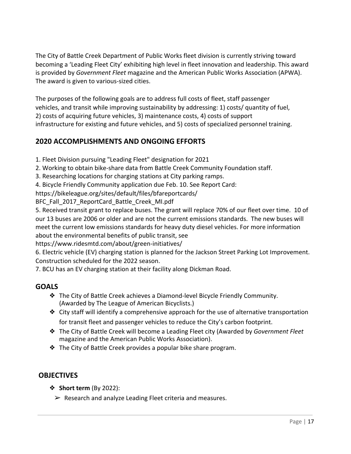The City of Battle Creek Department of Public Works fleet division is currently striving toward becoming a 'Leading Fleet City' exhibiting high level in fleet innovation and leadership. This award is provided by *Government Fleet* magazine and the American Public Works Association (APWA). The award is given to various-sized cities.

The purposes of the following goals are to address full costs of fleet, staff passenger vehicles, and transit while improving sustainability by addressing: 1) costs/ quantity of fuel, 2) costs of acquiring future vehicles, 3) maintenance costs, 4) costs of support infrastructure for existing and future vehicles, and 5) costs of specialized personnel training.

### **2020 ACCOMPLISHMENTS AND ONGOING EFFORTS**

- 1. Fleet Division pursuing "Leading Fleet" designation for 2021
- 2. Working to obtain bike-share data from Battle Creek Community Foundation staff.
- 3. Researching locations for charging stations at City parking ramps.
- 4. Bicycle Friendly Community application due Feb. 10. See Report Card:
- https://bikeleague.org/sites/default/files/bfareportcards/

BFC\_Fall\_2017\_ReportCard\_Battle\_Creek\_MI.pdf

5. Received transit grant to replace buses. The grant will replace 70% of our fleet over time. 10 of our 13 buses are 2006 or older and are not the current emissions standards. The new buses will meet the current low emissions standards for heavy duty diesel vehicles. For more information about the environmental benefits of public transit, see

https://www.ridesmtd.com/about/green-initiatives/

6. Electric vehicle (EV) charging station is planned for the Jackson Street Parking Lot Improvement. Construction scheduled for the 2022 season.

7. BCU has an EV charging station at their facility along Dickman Road.

### **GOALS**

- ❖ The City of Battle Creek achieves a Diamond-level Bicycle Friendly Community. (Awarded by The League of American Bicyclists.)
- ❖ City staff will identify a comprehensive approach for the use of alternative transportation for transit fleet and passenger vehicles to reduce the City's carbon footprint.
- ❖ The City of Battle Creek will become a Leading Fleet city (Awarded by *Government Fleet* magazine and the American Public Works Association).
- ❖ The City of Battle Creek provides a popular bike share program.

### **OBJECTIVES**

- ❖ **Short term** (By 2022):
	- $\triangleright$  Research and analyze Leading Fleet criteria and measures.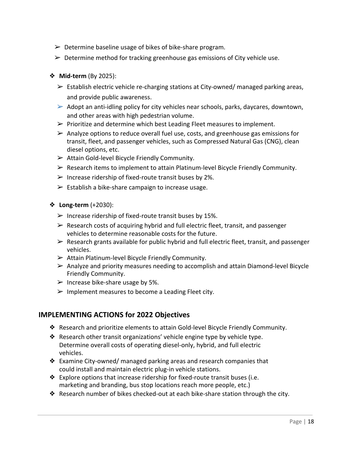- $\triangleright$  Determine baseline usage of bikes of bike-share program.
- $\triangleright$  Determine method for tracking greenhouse gas emissions of City vehicle use.

### ❖ **Mid-term** (By 2025):

- $\triangleright$  Establish electric vehicle re-charging stations at City-owned/ managed parking areas, and provide public awareness.
- $\triangleright$  Adopt an anti-idling policy for city vehicles near schools, parks, daycares, downtown, and other areas with high pedestrian volume.
- $\triangleright$  Prioritize and determine which best Leading Fleet measures to implement.
- $\triangleright$  Analyze options to reduce overall fuel use, costs, and greenhouse gas emissions for transit, fleet, and passenger vehicles, such as Compressed Natural Gas (CNG), clean diesel options, etc.
- $\triangleright$  Attain Gold-level Bicycle Friendly Community.
- $\triangleright$  Research items to implement to attain Platinum-level Bicycle Friendly Community.
- $\triangleright$  Increase ridership of fixed-route transit buses by 2%.
- $\triangleright$  Establish a bike-share campaign to increase usage.
- ❖ **Long-term** (+2030):
	- $\triangleright$  Increase ridership of fixed-route transit buses by 15%.
	- $\triangleright$  Research costs of acquiring hybrid and full electric fleet, transit, and passenger vehicles to determine reasonable costs for the future.
	- $\triangleright$  Research grants available for public hybrid and full electric fleet, transit, and passenger vehicles.
	- $\triangleright$  Attain Platinum-level Bicycle Friendly Community.
	- $\triangleright$  Analyze and priority measures needing to accomplish and attain Diamond-level Bicycle Friendly Community.
	- $\triangleright$  Increase bike-share usage by 5%.
	- $\triangleright$  Implement measures to become a Leading Fleet city.

### **IMPLEMENTING ACTIONS for 2022 Objectives**

- ❖ Research and prioritize elements to attain Gold-level Bicycle Friendly Community.
- ❖ Research other transit organizations' vehicle engine type by vehicle type. Determine overall costs of operating diesel-only, hybrid, and full electric vehicles.
- ❖ Examine City-owned/ managed parking areas and research companies that could install and maintain electric plug-in vehicle stations.
- ❖ Explore options that increase ridership for fixed-route transit buses (i.e. marketing and branding, bus stop locations reach more people, etc.)
- ❖ Research number of bikes checked-out at each bike-share station through the city.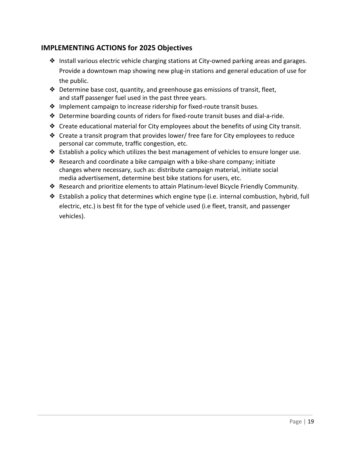### **IMPLEMENTING ACTIONS for 2025 Objectives**

- ❖ Install various electric vehicle charging stations at City-owned parking areas and garages. Provide a downtown map showing new plug-in stations and general education of use for the public.
- ❖ Determine base cost, quantity, and greenhouse gas emissions of transit, fleet, and staff passenger fuel used in the past three years.
- ❖ Implement campaign to increase ridership for fixed-route transit buses.
- ❖ Determine boarding counts of riders for fixed-route transit buses and dial-a-ride.
- ❖ Create educational material for City employees about the benefits of using City transit.
- ❖ Create a transit program that provides lower/ free fare for City employees to reduce personal car commute, traffic congestion, etc.
- $\triangle$  Establish a policy which utilizes the best management of vehicles to ensure longer use.
- ❖ Research and coordinate a bike campaign with a bike-share company; initiate changes where necessary, such as: distribute campaign material, initiate social media advertisement, determine best bike stations for users, etc.
- ❖ Research and prioritize elements to attain Platinum-level Bicycle Friendly Community.
- ❖ Establish a policy that determines which engine type (i.e. internal combustion, hybrid, full electric, etc.) is best fit for the type of vehicle used (i.e fleet, transit, and passenger vehicles).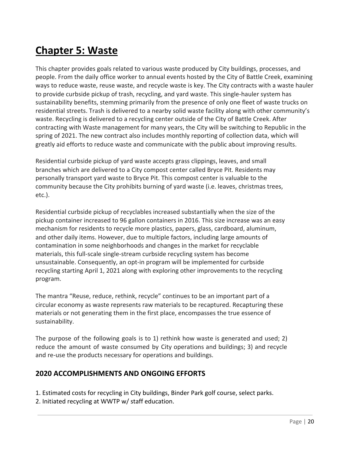### **Chapter 5: Waste**

This chapter provides goals related to various waste produced by City buildings, processes, and people. From the daily office worker to annual events hosted by the City of Battle Creek, examining ways to reduce waste, reuse waste, and recycle waste is key. The City contracts with a waste hauler to provide curbside pickup of trash, recycling, and yard waste. This single-hauler system has sustainability benefits, stemming primarily from the presence of only one fleet of waste trucks on residential streets. Trash is delivered to a nearby solid waste facility along with other community's waste. Recycling is delivered to a recycling center outside of the City of Battle Creek. After contracting with Waste management for many years, the City will be switching to Republic in the spring of 2021. The new contract also includes monthly reporting of collection data, which will greatly aid efforts to reduce waste and communicate with the public about improving results.

Residential curbside pickup of yard waste accepts grass clippings, leaves, and small branches which are delivered to a City compost center called Bryce Pit. Residents may personally transport yard waste to Bryce Pit. This compost center is valuable to the community because the City prohibits burning of yard waste (i.e. leaves, christmas trees, etc.).

Residential curbside pickup of recyclables increased substantially when the size of the pickup container increased to 96 gallon containers in 2016. This size increase was an easy mechanism for residents to recycle more plastics, papers, glass, cardboard, aluminum, and other daily items. However, due to multiple factors, including large amounts of contamination in some neighborhoods and changes in the market for recyclable materials, this full-scale single-stream curbside recycling system has become unsustainable. Consequently, an opt-in program will be implemented for curbside recycling starting April 1, 2021 along with exploring other improvements to the recycling program.

The mantra "Reuse, reduce, rethink, recycle" continues to be an important part of a circular economy as waste represents raw materials to be recaptured. Recapturing these materials or not generating them in the first place, encompasses the true essence of sustainability.

The purpose of the following goals is to 1) rethink how waste is generated and used; 2) reduce the amount of waste consumed by City operations and buildings; 3) and recycle and re-use the products necessary for operations and buildings.

### **2020 ACCOMPLISHMENTS AND ONGOING EFFORTS**

1. Estimated costs for recycling in City buildings, Binder Park golf course, select parks.

2. Initiated recycling at WWTP w/ staff education.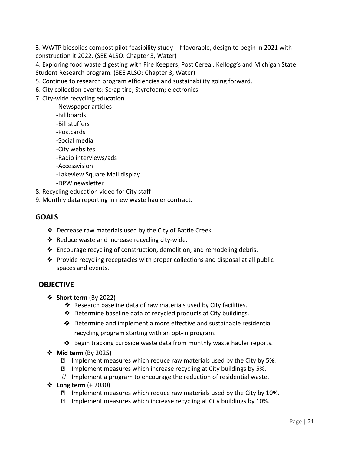3. WWTP biosolids compost pilot feasibility study - if favorable, design to begin in 2021 with construction it 2022. (SEE ALSO: Chapter 3, Water)

4. Exploring food waste digesting with Fire Keepers, Post Cereal, Kellogg's and Michigan State Student Research program. (SEE ALSO: Chapter 3, Water)

5. Continue to research program efficiencies and sustainability going forward.

- 6. City collection events: Scrap tire; Styrofoam; electronics
- 7. City-wide recycling education
	- -Newspaper articles
	- -Billboards
	- -Bill stuffers
	- -Postcards
	- -Social media
	- -City websites
	- -Radio interviews/ads
	- -Accessvision
	- -Lakeview Square Mall display
	- -DPW newsletter
- 8. Recycling education video for City staff
- 9. Monthly data reporting in new waste hauler contract.

### **GOALS**

- ❖ Decrease raw materials used by the City of Battle Creek.
- ❖ Reduce waste and increase recycling city-wide.
- ❖ Encourage recycling of construction, demolition, and remodeling debris.
- ❖ Provide recycling receptacles with proper collections and disposal at all public spaces and events.

### **OBJECTIVE**

- ❖ **Short term** (By 2022)
	- ❖ Research baseline data of raw materials used by City facilities.
	- ❖ Determine baseline data of recycled products at City buildings.
	- ❖ Determine and implement a more effective and sustainable residential recycling program starting with an opt-in program.
	- ❖ Begin tracking curbside waste data from monthly waste hauler reports.
- ❖ **Mid term** (By 2025)
	- $\boxtimes$  Implement measures which reduce raw materials used by the City by 5%.
	- **Implement measures which increase recycling at City buildings by 5%.**
	- $\Box$  Implement a program to encourage the reduction of residential waste.
- ❖ **Long term** (+ 2030)
	- **Implement measures which reduce raw materials used by the City by 10%.**
	- **Implement measures which increase recycling at City buildings by 10%.**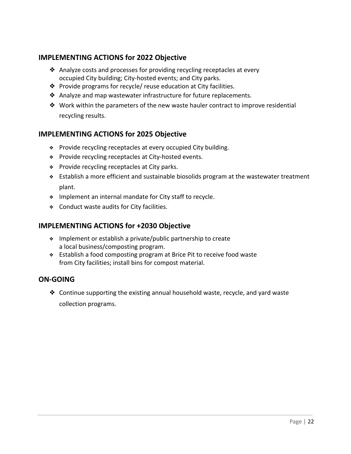### **IMPLEMENTING ACTIONS for 2022 Objective**

- ❖ Analyze costs and processes for providing recycling receptacles at every occupied City building; City-hosted events; and City parks.
- ❖ Provide programs for recycle/ reuse education at City facilities.
- ❖ Analyze and map wastewater infrastructure for future replacements.
- ❖ Work within the parameters of the new waste hauler contract to improve residential recycling results.

### **IMPLEMENTING ACTIONS for 2025 Objective**

- ❖ Provide recycling receptacles at every occupied City building.
- ❖ Provide recycling receptacles at City-hosted events.
- ❖ Provide recycling receptacles at City parks.
- ❖ Establish a more efficient and sustainable biosolids program at the wastewater treatment plant.
- ❖ Implement an internal mandate for City staff to recycle.
- ❖ Conduct waste audits for City facilities.

### **IMPLEMENTING ACTIONS for +2030 Objective**

- ❖ Implement or establish a private/public partnership to create a local business/composting program.
- ❖ Establish a food composting program at Brice Pit to receive food waste from City facilities; install bins for compost material.

### **ON-GOING**

❖ Continue supporting the existing annual household waste, recycle, and yard waste collection programs.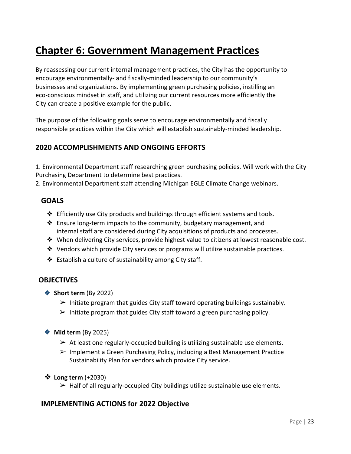### **Chapter 6: Government Management Practices**

By reassessing our current internal management practices, the City has the opportunity to encourage environmentally- and fiscally-minded leadership to our community's businesses and organizations. By implementing green purchasing policies, instilling an eco-conscious mindset in staff, and utilizing our current resources more efficiently the City can create a positive example for the public.

The purpose of the following goals serve to encourage environmentally and fiscally responsible practices within the City which will establish sustainably-minded leadership.

### **2020 ACCOMPLISHMENTS AND ONGOING EFFORTS**

1. Environmental Department staff researching green purchasing policies. Will work with the City Purchasing Department to determine best practices.

2. Environmental Department staff attending Michigan EGLE Climate Change webinars.

### **GOALS**

- ❖ Efficiently use City products and buildings through efficient systems and tools.
- ❖ Ensure long-term impacts to the community, budgetary management, and internal staff are considered during City acquisitions of products and processes.
- ❖ When delivering City services, provide highest value to citizens at lowest reasonable cost.
- ❖ Vendors which provide City services or programs will utilize sustainable practices.
- ❖ Establish a culture of sustainability among City staff.

### **OBJECTIVES**

- ❖ **Short term** (By 2022)
	- $\triangleright$  Initiate program that guides City staff toward operating buildings sustainably.
	- $\triangleright$  Initiate program that guides City staff toward a green purchasing policy.
- ❖ **Mid term** (By 2025)
	- $\triangleright$  At least one regularly-occupied building is utilizing sustainable use elements.
	- $\triangleright$  Implement a Green Purchasing Policy, including a Best Management Practice Sustainability Plan for vendors which provide City service.
- ❖ **Long term** (+2030)
	- $\triangleright$  Half of all regularly-occupied City buildings utilize sustainable use elements.

### **IMPLEMENTING ACTIONS for 2022 Objective**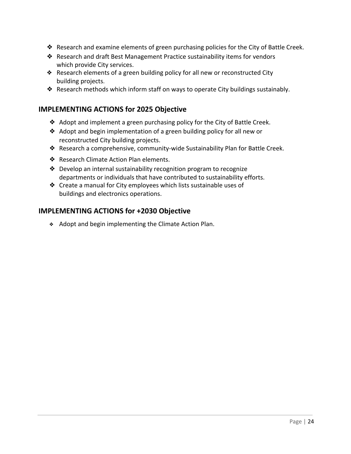- ❖ Research and examine elements of green purchasing policies for the City of Battle Creek.
- ❖ Research and draft Best Management Practice sustainability items for vendors which provide City services.
- ❖ Research elements of a green building policy for all new or reconstructed City building projects.
- ❖ Research methods which inform staff on ways to operate City buildings sustainably.

### **IMPLEMENTING ACTIONS for 2025 Objective**

- ❖ Adopt and implement a green purchasing policy for the City of Battle Creek.
- ❖ Adopt and begin implementation of a green building policy for all new or reconstructed City building projects.
- ❖ Research a comprehensive, community-wide Sustainability Plan for Battle Creek.
- ❖ Research Climate Action Plan elements.
- ❖ Develop an internal sustainability recognition program to recognize departments or individuals that have contributed to sustainability efforts.
- ❖ Create a manual for City employees which lists sustainable uses of buildings and electronics operations.

### **IMPLEMENTING ACTIONS for +2030 Objective**

❖ Adopt and begin implementing the Climate Action Plan.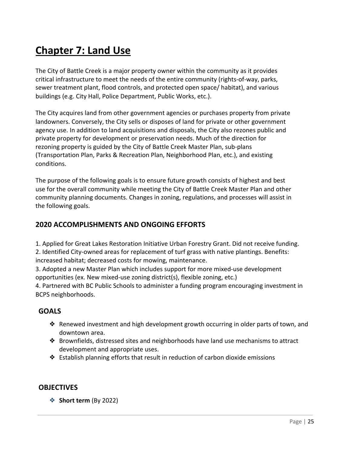### **Chapter 7: Land Use**

The City of Battle Creek is a major property owner within the community as it provides critical infrastructure to meet the needs of the entire community (rights-of-way, parks, sewer treatment plant, flood controls, and protected open space/ habitat), and various buildings (e.g. City Hall, Police Department, Public Works, etc.).

The City acquires land from other government agencies or purchases property from private landowners. Conversely, the City sells or disposes of land for private or other government agency use. In addition to land acquisitions and disposals, the City also rezones public and private property for development or preservation needs. Much of the direction for rezoning property is guided by the City of Battle Creek Master Plan, sub-plans (Transportation Plan, Parks & Recreation Plan, Neighborhood Plan, etc.), and existing conditions.

The purpose of the following goals is to ensure future growth consists of highest and best use for the overall community while meeting the City of Battle Creek Master Plan and other community planning documents. Changes in zoning, regulations, and processes will assist in the following goals.

### **2020 ACCOMPLISHMENTS AND ONGOING EFFORTS**

1. Applied for Great Lakes Restoration Initiative Urban Forestry Grant. Did not receive funding. 2. Identified City-owned areas for replacement of turf grass with native plantings. Benefits: increased habitat; decreased costs for mowing, maintenance.

3. Adopted a new Master Plan which includes support for more mixed-use development opportunities (ex. New mixed-use zoning district(s), flexible zoning, etc.)

4. Partnered with BC Public Schools to administer a funding program encouraging investment in BCPS neighborhoods.

### **GOALS**

- ❖ Renewed investment and high development growth occurring in older parts of town, and downtown area.
- ❖ Brownfields, distressed sites and neighborhoods have land use mechanisms to attract development and appropriate uses.
- ❖ Establish planning efforts that result in reduction of carbon dioxide emissions

### **OBJECTIVES**

❖ **Short term** (By 2022)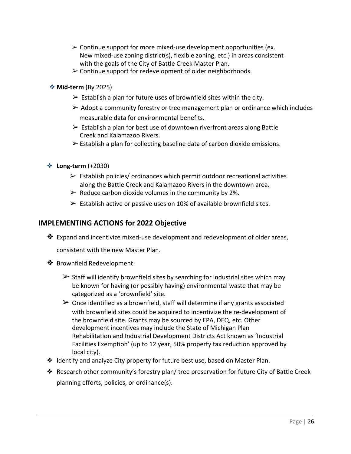- $\geq$  Continue support for more mixed-use development opportunities (ex. New mixed-use zoning district(s), flexible zoning, etc.) in areas consistent with the goals of the City of Battle Creek Master Plan.
- $\triangleright$  Continue support for redevelopment of older neighborhoods.
- ❖**Mid-term** (By 2025)
	- $\triangleright$  Establish a plan for future uses of brownfield sites within the city.
	- $\triangleright$  Adopt a community forestry or tree management plan or ordinance which includes measurable data for environmental benefits.
	- $\triangleright$  Establish a plan for best use of downtown riverfront areas along Battle Creek and Kalamazoo Rivers.
	- $\triangleright$  Establish a plan for collecting baseline data of carbon dioxide emissions.
- ❖ **Long-term** (+2030)
	- $\triangleright$  Establish policies/ ordinances which permit outdoor recreational activities along the Battle Creek and Kalamazoo Rivers in the downtown area.
	- $\triangleright$  Reduce carbon dioxide volumes in the community by 2%.
	- $\triangleright$  Establish active or passive uses on 10% of available brownfield sites.

#### **IMPLEMENTING ACTIONS for 2022 Objective**

 $\dots$  Expand and incentivize mixed-use development and redevelopment of older areas,

consistent with the new Master Plan.

- ❖ Brownfield Redevelopment:
	- $\triangleright$  Staff will identify brownfield sites by searching for industrial sites which may be known for having (or possibly having) environmental waste that may be categorized as a 'brownfield' site.
	- $\triangleright$  Once identified as a brownfield, staff will determine if any grants associated with brownfield sites could be acquired to incentivize the re-development of the brownfield site. Grants may be sourced by EPA, DEQ, etc. Other development incentives may include the State of Michigan Plan Rehabilitation and Industrial Development Districts Act known as 'Industrial Facilities Exemption' (up to 12 year, 50% property tax reduction approved by local city).
- ❖ Identify and analyze City property for future best use, based on Master Plan.
- ❖ Research other community's forestry plan/ tree preservation for future City of Battle Creek planning efforts, policies, or ordinance(s).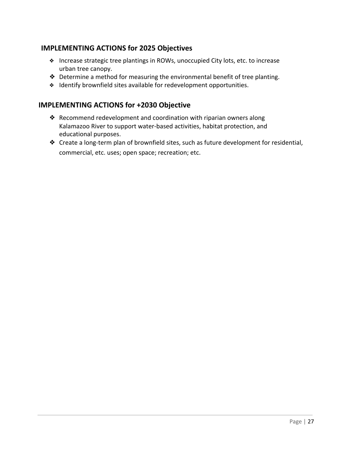### **IMPLEMENTING ACTIONS for 2025 Objectives**

- ❖ Increase strategic tree plantings in ROWs, unoccupied City lots, etc. to increase urban tree canopy.
- ❖ Determine a method for measuring the environmental benefit of tree planting.
- ❖ Identify brownfield sites available for redevelopment opportunities.

### **IMPLEMENTING ACTIONS for +2030 Objective**

- ❖ Recommend redevelopment and coordination with riparian owners along Kalamazoo River to support water-based activities, habitat protection, and educational purposes.
- ❖ Create a long-term plan of brownfield sites, such as future development for residential, commercial, etc. uses; open space; recreation; etc.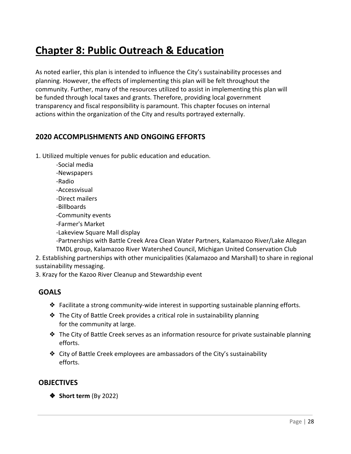### **Chapter 8: Public Outreach & Education**

As noted earlier, this plan is intended to influence the City's sustainability processes and planning. However, the effects of implementing this plan will be felt throughout the community. Further, many of the resources utilized to assist in implementing this plan will be funded through local taxes and grants. Therefore, providing local government transparency and fiscal responsibility is paramount. This chapter focuses on internal actions within the organization of the City and results portrayed externally.

### **2020 ACCOMPLISHMENTS AND ONGOING EFFORTS**

1. Utilized multiple venues for public education and education.

- -Social media
- -Newspapers
- -Radio
- -Accessvisual
- -Direct mailers
- -Billboards
- -Community events
- -Farmer's Market
- -Lakeview Square Mall display

-Partnerships with Battle Creek Area Clean Water Partners, Kalamazoo River/Lake Allegan TMDL group, Kalamazoo River Watershed Council, Michigan United Conservation Club

2. Establishing partnerships with other municipalities (Kalamazoo and Marshall) to share in regional sustainability messaging.

3. Krazy for the Kazoo River Cleanup and Stewardship event

### **GOALS**

- ❖ Facilitate a strong community-wide interest in supporting sustainable planning efforts.
- ❖ The City of Battle Creek provides a critical role in sustainability planning for the community at large.
- ❖ The City of Battle Creek serves as an information resource for private sustainable planning efforts.
- ❖ City of Battle Creek employees are ambassadors of the City's sustainability efforts.

### **OBJECTIVES**

❖ **Short term** (By 2022)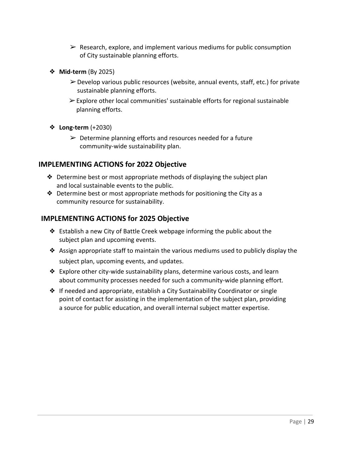- $\triangleright$  Research, explore, and implement various mediums for public consumption of City sustainable planning efforts.
- ❖ **Mid-term** (By 2025)
	- $\triangleright$  Develop various public resources (website, annual events, staff, etc.) for private sustainable planning efforts.
	- $\triangleright$  Explore other local communities' sustainable efforts for regional sustainable planning efforts.
- ❖ **Long-term** (+2030)
	- $\triangleright$  Determine planning efforts and resources needed for a future community-wide sustainability plan.

### **IMPLEMENTING ACTIONS for 2022 Objective**

- $\triangle$  Determine best or most appropriate methods of displaying the subject plan and local sustainable events to the public.
- $\triangle$  Determine best or most appropriate methods for positioning the City as a community resource for sustainability.

### **IMPLEMENTING ACTIONS for 2025 Objective**

- ❖ Establish a new City of Battle Creek webpage informing the public about the subject plan and upcoming events.
- ❖ Assign appropriate staff to maintain the various mediums used to publicly display the subject plan, upcoming events, and updates.
- ❖ Explore other city-wide sustainability plans, determine various costs, and learn about community processes needed for such a community-wide planning effort.
- ❖ If needed and appropriate, establish a City Sustainability Coordinator or single point of contact for assisting in the implementation of the subject plan, providing a source for public education, and overall internal subject matter expertise.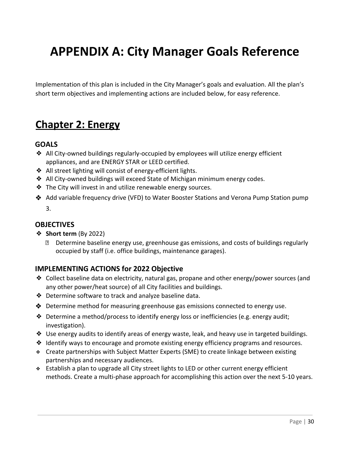# **APPENDIX A: City Manager Goals Reference**

Implementation of this plan is included in the City Manager's goals and evaluation. All the plan's short term objectives and implementing actions are included below, for easy reference.

### **Chapter 2: Energy**

### **GOALS**

- ❖ All City-owned buildings regularly-occupied by employees will utilize energy efficient appliances, and are ENERGY STAR or LEED certified.
- ❖ All street lighting will consist of energy-efficient lights.
- ❖ All City-owned buildings will exceed State of Michigan minimum energy codes.
- ❖ The City will invest in and utilize renewable energy sources.
- ❖ Add variable frequency drive (VFD) to Water Booster Stations and Verona Pump Station pump 3.

### **OBJECTIVES**

- ❖ **Short term** (By 2022)
	- Determine baseline energy use, greenhouse gas emissions, and costs of buildings regularly occupied by staff (i.e. office buildings, maintenance garages).

### **IMPLEMENTING ACTIONS for 2022 Objective**

- ❖ Collect baseline data on electricity, natural gas, propane and other energy/power sources (and any other power/heat source) of all City facilities and buildings.
- ❖ Determine software to track and analyze baseline data.
- ❖ Determine method for measuring greenhouse gas emissions connected to energy use.
- ❖ Determine a method/process to identify energy loss or inefficiencies (e.g. energy audit; investigation).
- ❖ Use energy audits to identify areas of energy waste, leak, and heavy use in targeted buildings.
- ❖ Identify ways to encourage and promote existing energy efficiency programs and resources.
- ❖ Create partnerships with Subject Matter Experts (SME) to create linkage between existing partnerships and necessary audiences.
- ❖ Establish a plan to upgrade all City street lights to LED or other current energy efficient methods. Create a multi-phase approach for accomplishing this action over the next 5-10 years.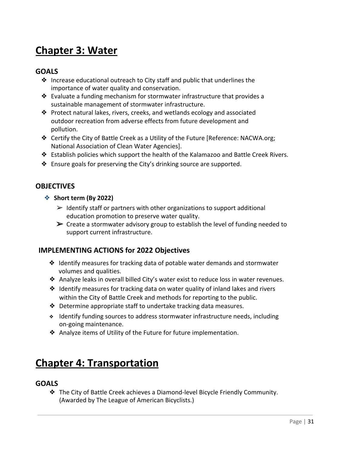### **Chapter 3: Water**

### **GOALS**

- ❖ Increase educational outreach to City staff and public that underlines the importance of water quality and conservation.
- ❖ Evaluate a funding mechanism for stormwater infrastructure that provides a sustainable management of stormwater infrastructure.
- ❖ Protect natural lakes, rivers, creeks, and wetlands ecology and associated outdoor recreation from adverse effects from future development and pollution.
- ❖ Certify the City of Battle Creek as a Utility of the Future [Reference: NACWA.org; National Association of Clean Water Agencies].
- ❖ Establish policies which support the health of the Kalamazoo and Battle Creek Rivers.
- ❖ Ensure goals for preserving the City's drinking source are supported.

### **OBJECTIVES**

- ❖ **Short term (By 2022)**
	- $\triangleright$  Identify staff or partners with other organizations to support additional education promotion to preserve water quality.
	- $\triangleright$  Create a stormwater advisory group to establish the level of funding needed to support current infrastructure.

### **IMPLEMENTING ACTIONS for 2022 Objectives**

- ❖ Identify measures for tracking data of potable water demands and stormwater volumes and qualities.
- ❖ Analyze leaks in overall billed City's water exist to reduce loss in water revenues.
- ❖ Identify measures for tracking data on water quality of inland lakes and rivers within the City of Battle Creek and methods for reporting to the public.
- ❖ Determine appropriate staff to undertake tracking data measures.
- ❖ Identify funding sources to address stormwater infrastructure needs, including on-going maintenance.
- ❖ Analyze items of Utility of the Future for future implementation.

### **Chapter 4: Transportation**

### **GOALS**

❖ The City of Battle Creek achieves a Diamond-level Bicycle Friendly Community. (Awarded by The League of American Bicyclists.)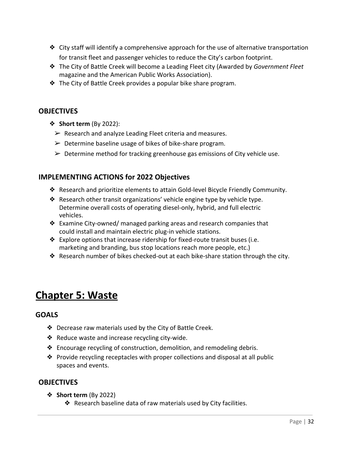- $\triangleq$  City staff will identify a comprehensive approach for the use of alternative transportation for transit fleet and passenger vehicles to reduce the City's carbon footprint.
- ❖ The City of Battle Creek will become a Leading Fleet city (Awarded by *Government Fleet* magazine and the American Public Works Association).
- ❖ The City of Battle Creek provides a popular bike share program.

### **OBJECTIVES**

- ❖ **Short term** (By 2022):
	- $\triangleright$  Research and analyze Leading Fleet criteria and measures.
	- $\triangleright$  Determine baseline usage of bikes of bike-share program.
	- $\triangleright$  Determine method for tracking greenhouse gas emissions of City vehicle use.

### **IMPLEMENTING ACTIONS for 2022 Objectives**

- ❖ Research and prioritize elements to attain Gold-level Bicycle Friendly Community.
- ❖ Research other transit organizations' vehicle engine type by vehicle type. Determine overall costs of operating diesel-only, hybrid, and full electric vehicles.
- ❖ Examine City-owned/ managed parking areas and research companies that could install and maintain electric plug-in vehicle stations.
- ❖ Explore options that increase ridership for fixed-route transit buses (i.e. marketing and branding, bus stop locations reach more people, etc.)
- ❖ Research number of bikes checked-out at each bike-share station through the city.

### **Chapter 5: Waste**

### **GOALS**

- ❖ Decrease raw materials used by the City of Battle Creek.
- ❖ Reduce waste and increase recycling city-wide.
- ❖ Encourage recycling of construction, demolition, and remodeling debris.
- ❖ Provide recycling receptacles with proper collections and disposal at all public spaces and events.

### **OBJECTIVES**

- ❖ **Short term** (By 2022)
	- ❖ Research baseline data of raw materials used by City facilities.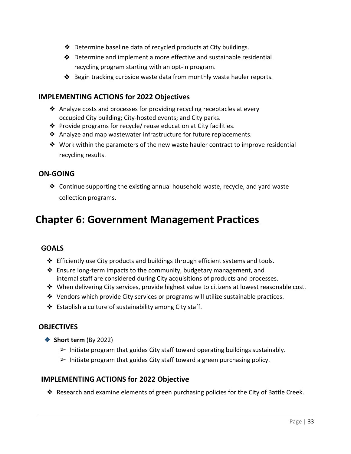- ❖ Determine baseline data of recycled products at City buildings.
- ❖ Determine and implement a more effective and sustainable residential recycling program starting with an opt-in program.
- ❖ Begin tracking curbside waste data from monthly waste hauler reports.

### **IMPLEMENTING ACTIONS for 2022 Objectives**

- ❖ Analyze costs and processes for providing recycling receptacles at every occupied City building; City-hosted events; and City parks.
- ❖ Provide programs for recycle/ reuse education at City facilities.
- ❖ Analyze and map wastewater infrastructure for future replacements.
- ❖ Work within the parameters of the new waste hauler contract to improve residential recycling results.

### **ON-GOING**

❖ Continue supporting the existing annual household waste, recycle, and yard waste collection programs.

### **Chapter 6: Government Management Practices**

### **GOALS**

- ❖ Efficiently use City products and buildings through efficient systems and tools.
- ❖ Ensure long-term impacts to the community, budgetary management, and internal staff are considered during City acquisitions of products and processes.
- ❖ When delivering City services, provide highest value to citizens at lowest reasonable cost.
- ❖ Vendors which provide City services or programs will utilize sustainable practices.
- ❖ Establish a culture of sustainability among City staff.

### **OBJECTIVES**

- ❖ **Short term** (By 2022)
	- $\triangleright$  Initiate program that guides City staff toward operating buildings sustainably.
	- $\triangleright$  Initiate program that guides City staff toward a green purchasing policy.

### **IMPLEMENTING ACTIONS for 2022 Objective**

❖ Research and examine elements of green purchasing policies for the City of Battle Creek.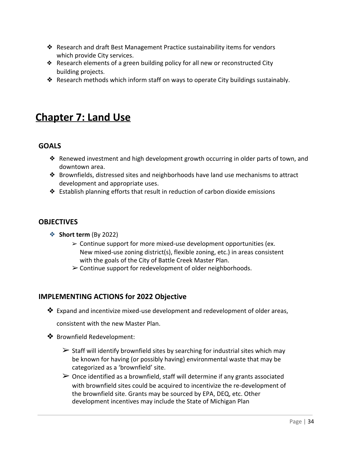- ❖ Research and draft Best Management Practice sustainability items for vendors which provide City services.
- ❖ Research elements of a green building policy for all new or reconstructed City building projects.
- ❖ Research methods which inform staff on ways to operate City buildings sustainably.

### **Chapter 7: Land Use**

### **GOALS**

- ❖ Renewed investment and high development growth occurring in older parts of town, and downtown area.
- ❖ Brownfields, distressed sites and neighborhoods have land use mechanisms to attract development and appropriate uses.
- ❖ Establish planning efforts that result in reduction of carbon dioxide emissions

### **OBJECTIVES**

- ❖ **Short term** (By 2022)
	- $\geq$  Continue support for more mixed-use development opportunities (ex. New mixed-use zoning district(s), flexible zoning, etc.) in areas consistent with the goals of the City of Battle Creek Master Plan.
	- $\triangleright$  Continue support for redevelopment of older neighborhoods.

### **IMPLEMENTING ACTIONS for 2022 Objective**

❖ Expand and incentivize mixed-use development and redevelopment of older areas,

consistent with the new Master Plan.

- ❖ Brownfield Redevelopment:
	- $\triangleright$  Staff will identify brownfield sites by searching for industrial sites which may be known for having (or possibly having) environmental waste that may be categorized as a 'brownfield' site.
	- $\triangleright$  Once identified as a brownfield, staff will determine if any grants associated with brownfield sites could be acquired to incentivize the re-development of the brownfield site. Grants may be sourced by EPA, DEQ, etc. Other development incentives may include the State of Michigan Plan